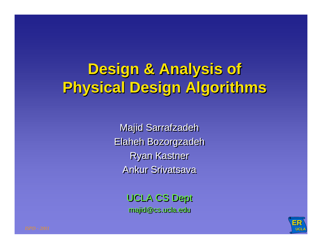# **Design & Analysis of Physical Design Algorithms**

Majid Sarrafzadeh Majid Sarrafzadeh Elaheh Bozorgzadeh Elaheh Bozorgzadeh Ryan Kastner Ryan Kastner Ankur Srivatsava Ankur Srivatsava

> UCLA CS Dept UCLA CS Dept majid@cs.ucla.edu majid@cs.ucla.edu

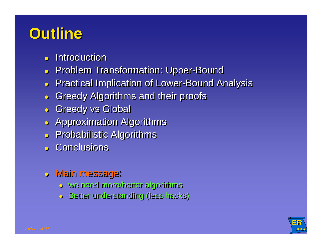# **Outline**

- **•** Introduction
- **Problem Transformation: Upper-Bound**
- **Practical Implication of Lower-Bound Analysis**
- **.** Greedy Algorithms and their proofs
- **Creedy vs Global**
- **Approximation Algorithms**
- **Probabilistic Algorithms**
- <sup>l</sup> Conclusions <sup>l</sup> Conclusions
- **b** Main message:
	- <sup>l</sup> we need more/better algorithms <sup>l</sup> we need more/better algorithms
	- <sup>l</sup> Better understanding (less hacks) <sup>l</sup> Better understanding (less hacks)

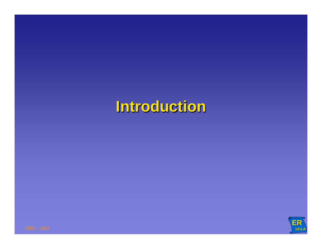# **Introduction**

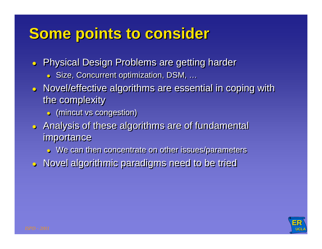#### **Some points to consider**

- **Physical Design Problems are getting harder** 
	- **Size, Concurrent optimization, DSM, ...**
- **.** Novel/effective algorithms are essential in coping with the complexity the complexity
	- **.** (mincut vs congestion)
- **Analysis of these algorithms are of fundamental** importance importance
	- <sup>l</sup> We can then concentrate on other issues/parameters <sup>l</sup> We can then concentrate on other issues/parameters
- <sup>l</sup> Novel algorithmic paradigms need to be tried <sup>l</sup> Novel algorithmic paradigms need to be tried

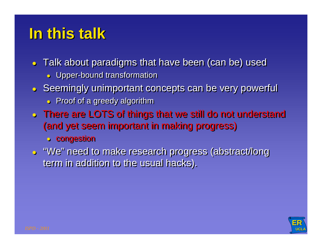## **In this talk**

- **.** Talk about paradigms that have been (can be) used
	- **J** Upper-bound transformation
- **.** Seemingly unimportant concepts can be very powerful
	- **Proof of a greedy algorithm**
- o There are LOTS of things that we still do not understand (and yet seem important in making progress) (and yet seem important in making progress)
	- **congestion**
- <sup>l</sup> "We" need to make research progress (abstract/long <sup>l</sup> "We" need to make research progress (abstract/long term in addition to the usual hacks). term in addition to the usual hacks).

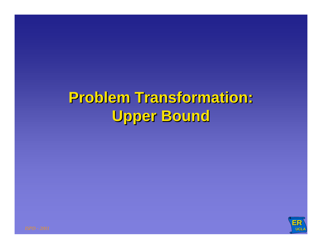# **Problem Transformation: Upper Bound**

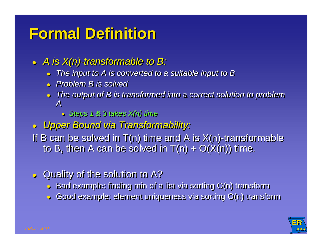## **Formal Definition**

<sup>l</sup> *A is X(n)-transformable to B:* <sup>l</sup> *A is X(n)-transformable to B:*

- <sup>l</sup> *The input to A is converted to a suitable input to B* <sup>l</sup> *The input to A is converted to a suitable input to B*
- <sup>l</sup> *Problem B is solved* <sup>l</sup> *Problem B is solved*
- **The output of B is transformed into a correct solution to problem** *A A*
	- <sup>l</sup> *Steps 1 & 3 takes X(n) time* <sup>l</sup> *Steps 1 & 3 takes X(n) time*

#### <sup>l</sup> *Upper Bound via Transformability:* <sup>l</sup> *Upper Bound via Transformability:* If B can be solved in T(n) time and A is X(n)-transformable If B can be solved in T(n) time and A is X(n)-transformable

- to B, then A can be solved in  $T(n) + O(X(n))$  time.
- **J** Quality of the solution to A?
	- <sup>l</sup> Bad example: finding min of a list via sorting O(n) transform <sup>l</sup> Bad example: finding min of a list via sorting O(n) transform
	- <sup>l</sup> Good example: element uniqueness via sorting O(n) transform <sup>l</sup> Good example: element uniqueness via sorting O(n) transform

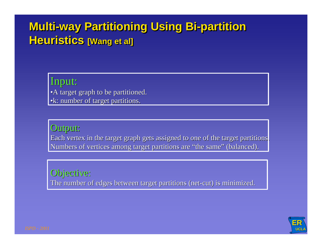#### **Multi-way Partitioning Using Bi-partition Multi-way Partitioning Using Bi-partition Heuristics [Wang et al] Heuristics [Wang et al]**

#### Input: •A target graph to be partitioned. •k: number of target partitions.

Output: Each vertex in the target graph gets assigned to one of the target partitions. Numbers of vertices among target partitions are "the same" (balanced).

#### Objective:

The number of edges between target partitions (net-cut) is minimized.

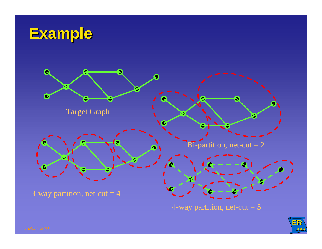

**UCLA**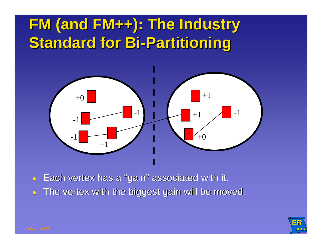# **FM (and FM++): The Industry Standard for Bi-Partitioning**



- **BEACH Vertex has a "gain" associated with it.**
- **Journal The vertex with the biggest gain will be moved.**

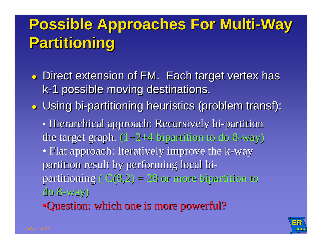# **Possible Approaches For Multi-Way Partitioning Partitioning**

- **.** Direct extension of FM. Each target vertex has k-1 possible moving destinations. k-1 possible moving destinations.
- **.** Using bi-partitioning heuristics (problem transf):

• Hierarchical approach: Recursively bi-partition the target graph.  $(1+2+4$  bipartition to do 8-way) • Flat approach: Iteratively improve the k-way partition result by performing local bipartitioning ( $C(8,2) = 28$  or more bipartition to do 8-way) •Question: which one is more powerful?

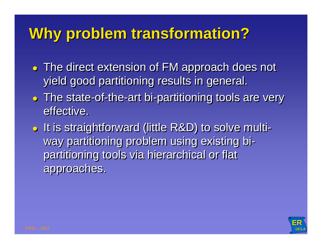## **Why problem transformation?**

- The direct extension of FM approach does not yield good partitioning results in general. yield good partitioning results in general.
- **.** The state-of-the-art bi-partitioning tools are very effective. effective.
- o It is straightforward (little R&D) to solve multiway partitioning problem using existing bi-way partitioning problem using existing bipartitioning tools via hierarchical or flat partitioning tools via hierarchical or flat approaches. approaches.

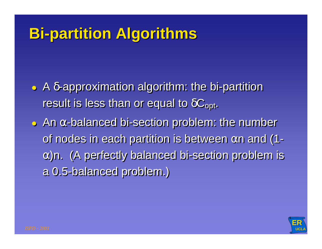## **Bi-partition Algorithms**

- A δ-approximation algorithm: the bi-partition result is less than or equal to  $\delta C_{opt}$ .
- **.** An α-balanced bi-section problem: the number of nodes in each partition is between αn and (1- of nodes in each partition is between αn and (1 α)n. (A perfectly balanced bi-section problem is α)n. (A perfectly balanced bi-section problem is a 0.5-balanced problem.) a 0.5-balanced problem.)

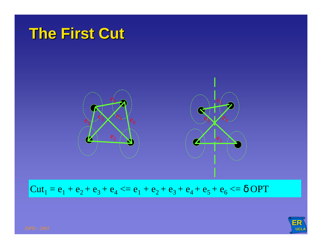

# **The First Cut**



#### $\text{Cut}_1 = e_1 + e_2 + e_3 + e_4 \leq e_1 + e_2 + e_3 + e_4 + e_5 + e_6 \leq \delta \text{ OPT}$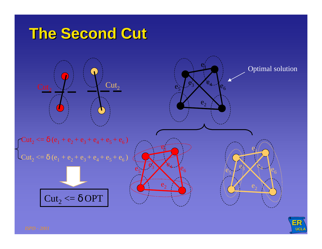

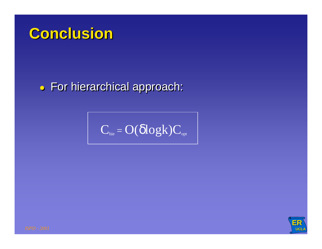#### **Conclusion**

• For hierarchical approach:

 $C_{\text{hie}} = O(\delta log k)C_{\text{opt}}$ 

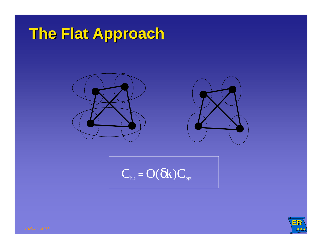# The Flat Approach





$$
C_{\rm hie} = O(\delta k) C_{\rm opt}
$$

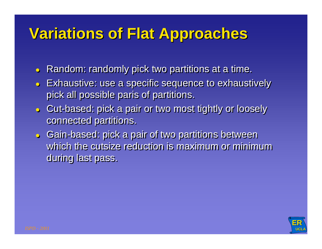## **Variations of Flat Approaches**

- Random: randomly pick two partitions at a time.
- **•** Exhaustive: use a specific sequence to exhaustively pick all possible paris of partitions. pick all possible paris of partitions.
- **.** Cut-based: pick a pair or two most tightly or loosely connected partitions. connected partitions.
- **.** Gain-based: pick a pair of two partitions between which the cutsize reduction is maximum or minimum which the cutsize reduction is maximum or minimum during last pass. during last pass.

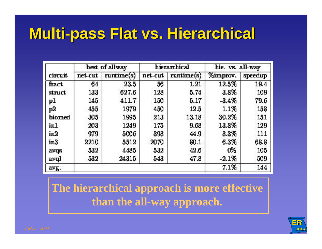#### **Multi-pass Flat vs. Hierarchical**

| <i>circuit</i> | best of allway |            | hierarchical |                     | hie. vs. all-way |         |
|----------------|----------------|------------|--------------|---------------------|------------------|---------|
|                | net-cut        | runtime(s) | net-cut      | $\text{runtime(s)}$ | <b>Wimprov.</b>  | speedup |
| fract          | 64             | 23.5       | 56           | 1.21                | 12.5%            | 19.4    |
| struct         | 133            | 627.6      | 128          | 5.74                | 3.8%             | 109     |
| $\mathbf{p}1$  | 145            | 411.7      | 150          | 5.17                | $-3.4%$          | 79.6    |
| p2             | 455            | 1979       | 450          | 12.5                | 1.1%             | 158     |
| biomed         | 305            | 1995       | 213          | 13.18               | 30.2%            | 151     |
| in1            | 203            | 1249       | 175          | 9.68                | 13.8%            | 129     |
| in2            | 979            | 5006       | 898          | 44.9                | 8.3%             | 111     |
| in3            | 2210           | 5512       | 2070         | 80.1                | 6.3%             | 68.8    |
| <b>avqR</b>    | 532            | 4485       | 532          | 42.6                | $0\%$            | 105     |
| avql           | 532            | 24315      | 543          | 47.8                | $-2.1\%$         | 509     |
| avg.           |                |            | 553          |                     | 7.1%             | 144     |

**The hierarchical approach is more effective than the all-way approach.**

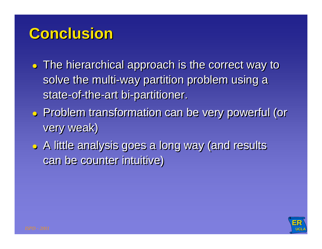#### **Conclusion**

- The hierarchical approach is the correct way to solve the multi-way partition problem using a solve the multi-way partition problem using a state-of-the-art bi-partitioner. state-of-the-art bi-partitioner.
- **Problem transformation can be very powerful (or** very weak) very weak)
- . A little analysis goes a long way (and results can be counter intuitive) can be counter intuitive)

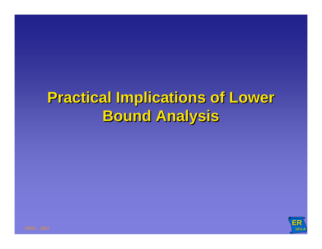# **Practical Implications of Lower Bound Analysis**

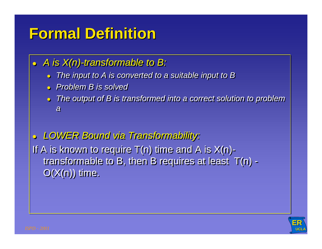# **Formal Definition**

<sup>l</sup> *A is X(n)-transformable to B:* <sup>l</sup> *A is X(n)-transformable to B:*

- <sup>l</sup> *The input to A is converted to a suitable input to B* <sup>l</sup> *The input to A is converted to a suitable input to B*
- <sup>l</sup> *Problem B is solved* <sup>l</sup> *Problem B is solved*
- **The output of B is transformed into a correct solution to problem** *a a*

#### <sup>l</sup> *LOWER Bound via Transformability:* <sup>l</sup> *LOWER Bound via Transformability:*

If A is known to require T(n) time and A is X(n)- If A is known to require T(n) time and A is X(n) transformable to B, then B requires at least T(n) - transformable to B, then B requires at least T(n) - O(X(n)) time. O(X(n)) time.

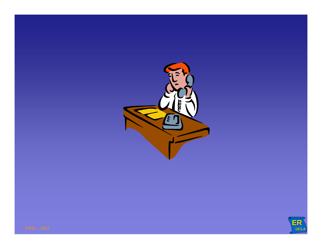

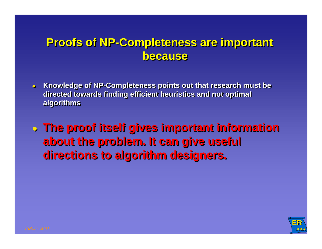#### **Proofs of NP-Completeness are important Proofs of NP-Completeness are important because because**

- **Knowledge of NP-Completeness points out that research must be directed towards finding efficient heuristics and not optimal directed towards finding efficient heuristics and not optimal algorithms algorithms**
- <sup>l</sup> **The proof itself gives important information**  <sup>l</sup> **The proof itself gives important information about the problem. It can give useful about the problem. It can give useful directions to algorithm designers. directions to algorithm designers.**

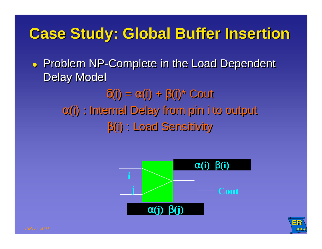#### **Case Study: Global Buffer Insertion**

**• Problem NP-Complete in the Load Dependent** Delay Model Delay Model

> $\delta(i) = \alpha(i) + \beta(i)^*$  Cout α(i) : Internal Delay from pin i to output α(i) : Internal Delay from pin i to output β(i) : Load Sensitivity β(i) : Load Sensitivity



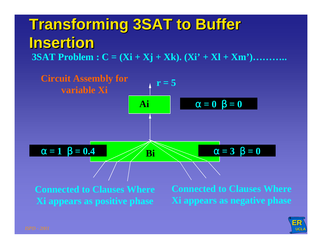#### **Transforming 3SAT to Buffer Insertion 3SAT Problem :**  $C = (Xi + Xj +Xk)$ .  $(Xi' + XI + Xm')$ ……….



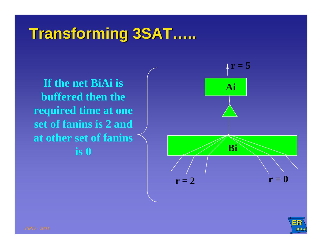## **Transforming 3SAT.....**

If the net BiAi is buffered then the required time at one set of fanins is 2 and at other set of fanins is 0



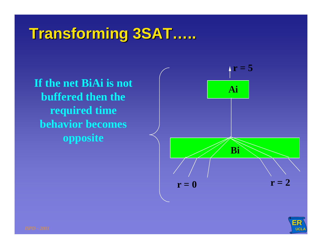# **Transforming 3SAT.....**

If the net BiAi is not buffered then the required time **behavior becomes** opposite



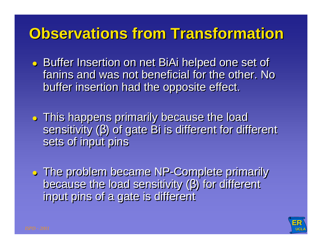## **Observations from Transformation**

**.** Buffer Insertion on net BiAi helped one set of fanins and was not beneficial for the other. No fanins and was not beneficial for the other. No buffer insertion had the opposite effect. buffer insertion had the opposite effect.

**.** This happens primarily because the load sensitivity (β) of gate Bi is different for different sensitivity (β) of gate Bi is different for different sets of input pins sets of input pins

**.** The problem became NP-Complete primarily because the load sensitivity (β) for different because the load sensitivity (β) for different input pins of a gate is different input pins of a gate is different

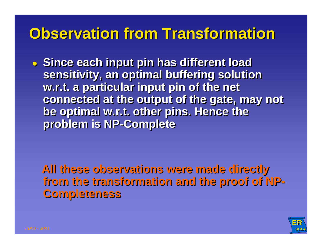#### **Observation from Transformation**

**. Since each input pin has different load sensitivity, an optimal buffering solution sensitivity, an optimal buffering solution w.r.t. a particular input pin of the net w.r.t. a particular input pin of the net connected at the output of the gate, may not connected at the output of the gate, may not be optimal w.r.t. other pins. Hence the be optimal w.r.t. other pins. Hence the problem is NP-Complete problem is NP-Complete**

**All these observations were made directly All these observations were made directly from the transformation and the proof of NP-from the transformation and the proof of NP-Completeness Completeness**

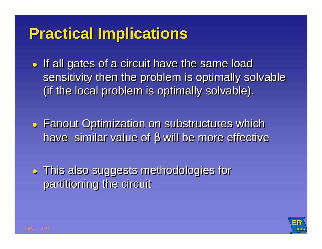#### **Practical Implications**

• If all gates of a circuit have the same load sensitivity then the problem is optimally solvable (if the local problem is optimally solvable). (if the local problem is optimally solvable).

**• Fanout Optimization on substructures which** have similar value of β will be more effective have similar value of β will be more effective

<sup>l</sup> This also suggests methodologies for <sup>l</sup> This also suggests methodologies for partitioning the circuit partitioning the circuit

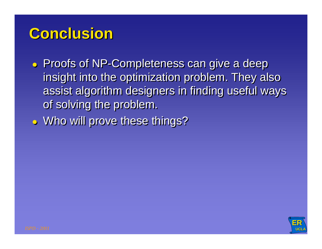#### **Conclusion**

**.** Proofs of NP-Completeness can give a deep insight into the optimization problem. They also insight into the optimization problem. They also assist algorithm designers in finding useful ways assist algorithm designers in finding useful ways of solving the problem. of solving the problem.

**.** Who will prove these things?

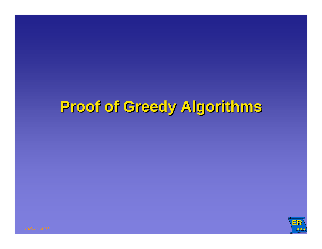# **Proof of Greedy Algorithms**

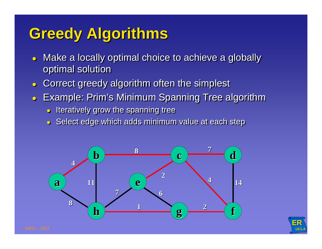## **Greedy Algorithms**

- Make a locally optimal choice to achieve a globally optimal solution optimal solution
- **.** Correct greedy algorithm often the simplest
- <sup>l</sup> Example: Prim's Minimum Spanning Tree algorithm <sup>l</sup> Example: Prim's Minimum Spanning Tree algorithm
	- **.** Iteratively grow the spanning tree
	- **Select edge which adds minimum value at each step**



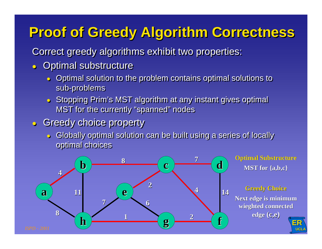#### **Proof of Greedy Algorithm Correctness**

Correct greedy algorithms exhibit two properties: Correct greedy algorithms exhibit two properties:

- **.** Optimal substructure
	- **Optimal solution to the problem contains optimal solutions to** sub-problems sub-problems
	- **Stopping Prim's MST algorithm at any instant gives optimal** MST for the currently "spanned" nodes MST for the currently "spanned" nodes
- **Creedy choice property** 
	- **J** Globally optimal solution can be built using a series of locally optimal choices optimal choices

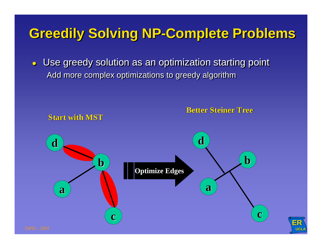#### **Greedily Solving NP-Complete Problems**

• Use greedy solution as an optimization starting point Add more complex optimizations to greedy algorithm

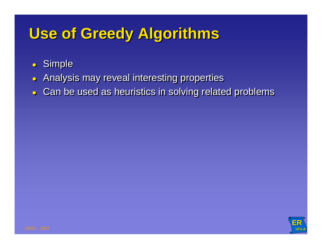### **Use of Greedy Algorithms**

- **.** Simple
- **Analysis may reveal interesting properties**
- **.** Can be used as heuristics in solving related problems

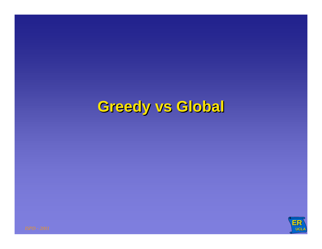# **Greedy vs Global**

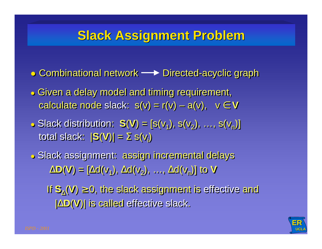#### **Slack Assignment Problem**

- **.** Combinational network **-->** Directed-acyclic graph
- **.** Given a delay model and timing requirement, calculate node slack:  $s(v) = r(v) - a(v)$ ,  $v \in V$
- **Slack distribution:**  $S(V) = [s(v_1), s(v_2), ..., s(v_n)]$ total slack:  $|\mathbf{S}(V)| = \Sigma \mathbf{s}(v_i)$
- <sup>l</sup> Slack assignment: assign incremental delays <sup>l</sup> Slack assignment: assign incremental delays  $\Delta$ **D(V)** = [ $\Delta$ d(v<sub>1</sub>),  $\Delta$ d(v<sub>2</sub>), …,  $\Delta$ d(v<sub>n</sub>)] to **V**

If S<sub>△</sub>(V) ≥ 0, the slack assignment is effective and |Δ**D**(**V**)| is called effective slack. |Δ**D**(**V**)| is called effective slack.

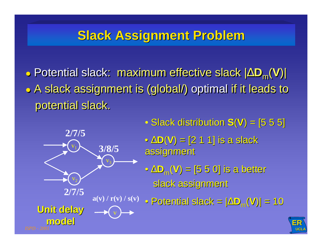#### **Slack Assignment Problem**

<sup>l</sup> Potential slack: maximum effective slack |Δ**D**m(**V**)| <sup>l</sup> Potential slack: maximum effective slack |Δ**D**m(**V**)| . A slack assignment is (global/) optimal if it leads to potential slack. potential slack.



• Slack distribution **S**(**V**) = [5 5 5]

• Δ**D**(**V**) = [2 1 1] is a slack assignment

 $\sim \Delta D_m(V) = [5 5 0]$  is a better slack assignment

• Potential slack = |Δ**D**m(**V**)| = 10

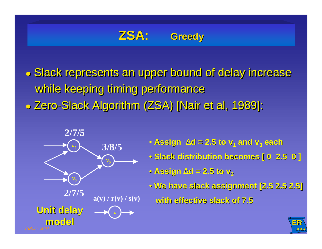### **ZSA: Greedy**

**. Slack represents an upper bound of delay increase** while keeping timing performance while keeping timing performance <sup>l</sup> Zero-Slack Algorithm (ZSA) [Nair et al, 1989]: <sup>l</sup> Zero-Slack Algorithm (ZSA) [Nair et al, 1989]:



- **Assign**  $\Delta$ **d** = 2.5 to **v**<sub>1</sub> and **v**<sub>3</sub> each
- **Slack distribution becomes [ 0 2.5 0 ]**
- $\circ$  **Assign**  $\Delta$ **d** = 2.5 to  $\mathsf{v}_2$
- **We have slack assignment [2.5 2.5 2.5] with effective slack of 7.5**

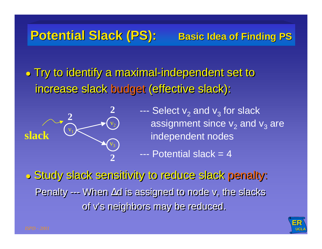#### **Potential Slack (PS): Basic Idea of Finding PS**

. Try to identify a maximal-independent set to increase slack budget (effective slack): increase slack budget (effective slack):



--- Select  $v_2$  and  $v_3$  for slack assignment since  $v_2$  and  $v_3$  are independent nodes

 $--$  Potential slack  $=$  4

<sup>l</sup> Study slack sensitivity to reduce slack penalty: <sup>l</sup> Study slack sensitivity to reduce slack penalty: Penalty --- When Δd is assigned to node v, the slacks Penalty --- When Δd is assigned to node v, the slacks of v's neighbors may be reduced. of v's neighbors may be reduced.

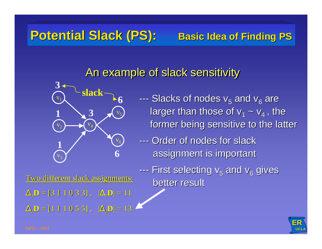#### **Potential Slack (PS): Basic Idea of Finding PS**

#### An example of slack sensitivity



Two different slack assignments:  $\Delta_1$ **D** = [3 1 1 0 3 3],  $|\Delta_1$ **D**| = 11  $\Delta_2$ **D** = [1 1 1 0 5 5],  $|\Delta_2$ **D**| = 13

 $-$ -- Slacks of nodes  $v_5$  and  $v_6$  are larger than those of  $v_1 \sim v_4$ , the former being sensitive to the latter

--- Order of nodes for slack assignment is important

 $-$ -- First selecting  $v_5$  and  $v_6$  gives better result

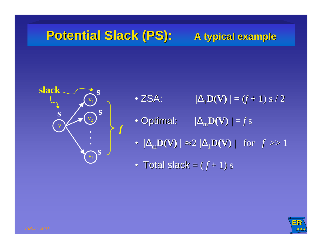### **Potential Slack (PS): A typical example**



- ZSA:  $|\Delta_1\mathbf{D}(\mathbf{V})| = (f+1) s/2$
- Optimal:  $|\Delta_{m} \mathbf{D}(\mathbf{V})| = f s$
- $|\Delta_{\text{m}}\mathbf{D}(\mathbf{V})| \approx 2 |\Delta_1\mathbf{D}(\mathbf{V})|$  for  $f \gg 1$
- Total slack  $= (f + 1) s$

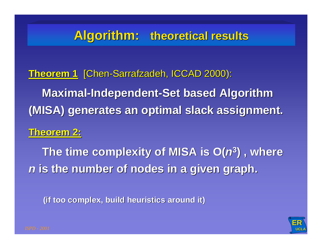#### **Algorithm: theoretical results**

**Theorem 1** [Chen-Sarrafzadeh, ICCAD 2000): **Maximal-Independent-Set based Algorithm (MISA) generates an optimal slack assignment.** 

#### **Theorem 2:**

**The time complexity of MISA is O(***n***<sup>3</sup> ) , where**  *n* **is the number of nodes in a given graph.**

**(if too complex, build heuristics around it)**

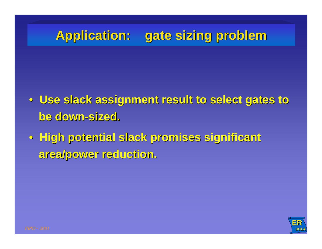### **Application: gate sizing problem**

- **Use slack assignment result to select gates to be down-sized.**
- **High potential slack promises significant area/power reduction.**

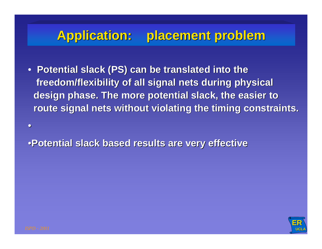#### **Application: placement problem**

• **Potential slack (PS) can be translated into the freedom/flexibility of all signal nets during physical design phase. The more potential slack, the easier to route signal nets without violating the timing constraints.**

 $\bullet$ 

•**Potential slack based results are very effective**

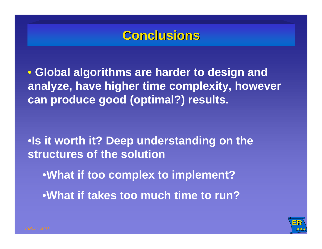#### **Conclusions**

• **Global algorithms are harder to design and analyze, have higher time complexity, however can produce good (optimal?) results.**

•**Is it worth it? Deep understanding on the structures of the solution**

•**What if too complex to implement?**

•**What if takes too much time to run?**

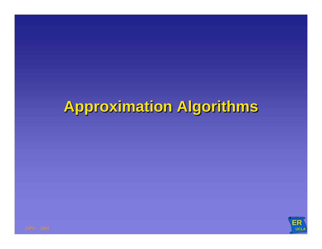# **Approximation Algorithms**

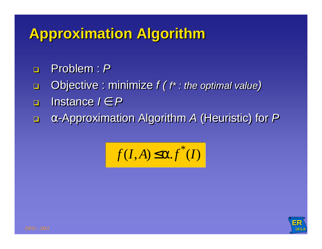### **Approximation Algorithm**

- <sup>q</sup> Problem : *P* <sup>q</sup> Problem : *P*
- <sup>q</sup> Objective : minimize *f ( f\* : the optimal value)* <sup>q</sup> Objective : minimize *f ( f\* : the optimal value)*
- <sup>q</sup> Instance *I ˛ P* <sup>q</sup> Instance *I ˛ P*
- <sup>q</sup> α-Approximation Algorithm *A* (Heuristic) for *P* <sup>q</sup> α-Approximation Algorithm *A* (Heuristic) for *P*

$$
f(I,A) \leq a.f^*(I)
$$

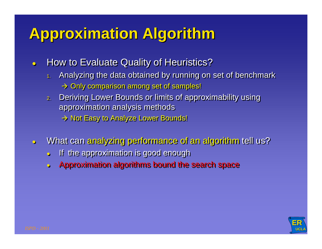# **Approximation Algorithm**

- **.** How to Evaluate Quality of Heuristics?
	- 1. Analyzing the data obtained by running on set of benchmark 1. Analyzing the data obtained by running on set of benchmark  $→$  **Only comparison among set of samples!**
	- 2. Deriving Lower Bounds or limits of approximability using 2. Deriving Lower Bounds or limits of approximability using approximation analysis methods approximation analysis methods
		- → Not Easy to Analyze Lower Bounds!
- **July 10 What can analyzing performance of an algorithm tell us?** 
	- **If the approximation is good enough**
	- **J.** Approximation algorithms bound the search space

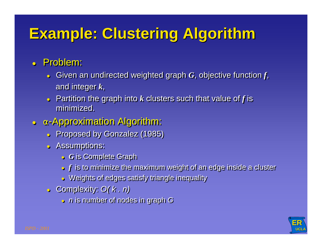#### <sup>l</sup> Problem: <sup>l</sup> Problem:

- **Given an undirected weighted graph** *G*, objective function *f*, and integer *k*, and integer *k*,
- **Partition the graph into** *k* **clusters such that value of** *f* **is** minimized. minimized.

#### **.** α-Approximation Algorithm:

- <sup>l</sup> Proposed by Gonzalez (1985) <sup>l</sup> Proposed by Gonzalez (1985)
- **J** Assumptions:
	- <sup>l</sup> *G* is Complete Graph <sup>l</sup> *G* is Complete Graph
	- <sup>l</sup> *f* is to minimize the maximum weight of an edge inside a cluster <sup>l</sup> *f* is to minimize the maximum weight of an edge inside a cluster
	- <sup>l</sup> Weights of edges satisfy triangle inequality <sup>l</sup> Weights of edges satisfy triangle inequality
- <sup>l</sup> Complexity: *O( k . n)* <sup>l</sup> Complexity: *O( k . n)*
	- <sup>l</sup> *n* is number of nodes in graph *G* <sup>l</sup> *n* is number of nodes in graph *G*

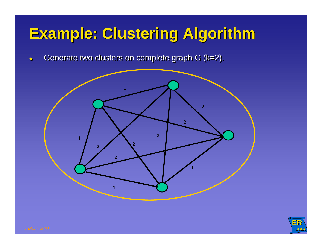**.** Generate two clusters on complete graph G ( $k=2$ ).



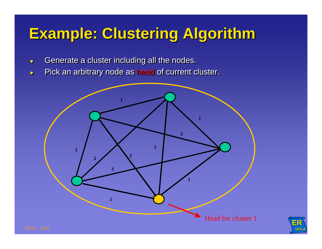- **.** Generate a cluster including all the nodes.
- **I.** Pick an arbitrary node as head of current cluster.



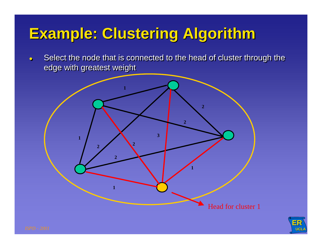Select the node that is connected to the head of cluster through the edge with greatest weight  $\bullet$ 



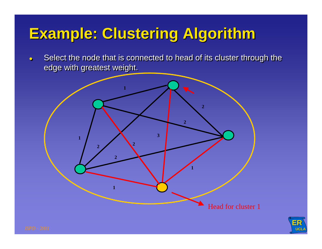Select the node that is connected to head of its cluster through the edge with greatest weight.  $\bullet$ 



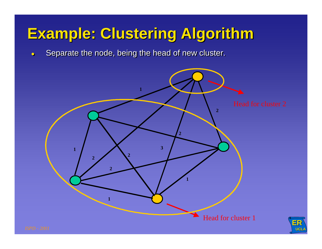**.** Separate the node, being the head of new cluster.

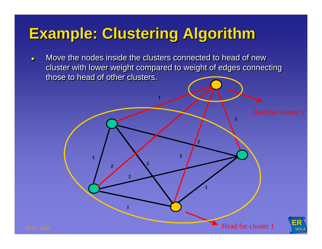Move the nodes inside the clusters connected to head of new cluster with lower weight compared to weight of edges connecting those to head of other clusters.  $\bullet$ 

**1**

**2**

**1**

**2**

**3**



**1**

**1**

**2**

**2**

**2**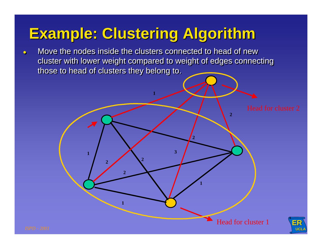#### **ER UCLA Example: Clustering Algorithm 1 1 1 2 2 2 1 2 3 2** Head for cluster 1 Move the nodes inside the clusters connected to head of new cluster with lower weight compared to weight of edges connecting those to head of clusters they belong to.  $\bullet$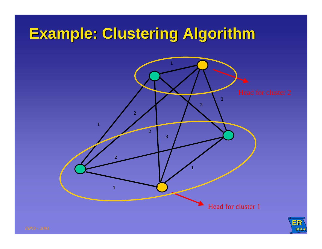

**UCLA**

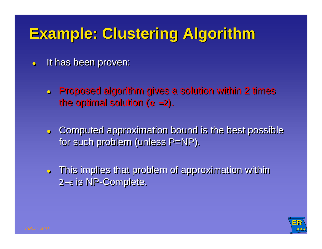- It has been proven:
	- **Demosed algorithm gives a solution within 2 times** the optimal solution  $(\alpha=2)$ .
	- **Computed approximation bound is the best possible** for such problem (unless P=NP). for such problem (unless P=NP).
	- **J** This implies that problem of approximation within 2−ε is NP-Complete. 2−ε is NP-Complete.

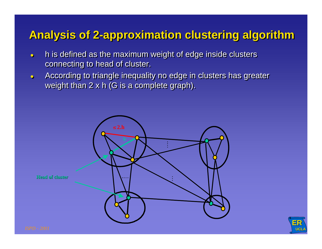- . h is defined as the maximum weight of edge inside clusters connecting to head of cluster. connecting to head of cluster.
- **According to triangle inequality no edge in clusters has greater** weight than 2 x h (G is a complete graph). weight than 2 x h (G is a complete graph).



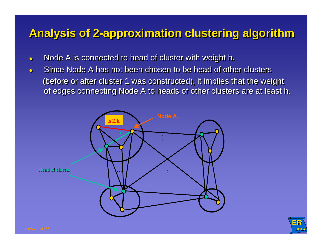- **Node A is connected to head of cluster with weight h.**
- **Since Node A has not been chosen to be head of other clusters** (before or after cluster 1 was constructed), it implies that the weight (before or after cluster 1 was constructed), it implies that the weight of edges connecting Node A to heads of other clusters are at least h. of edges connecting Node A to heads of other clusters are at least h.



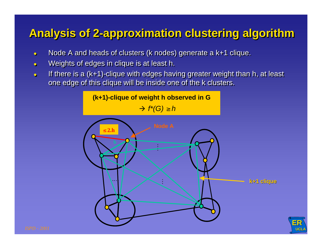- Node A and heads of clusters (k nodes) generate a k+1 clique.
- **.** Weights of edges in clique is at least h.
- If there is a  $(k+1)$ -clique with edges having greater weight than h, at least one edge of this clique will be inside one of the k clusters. one edge of this clique will be inside one of the k clusters.



**ER UCLA**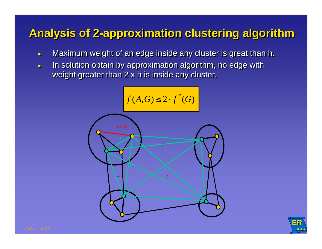- Maximum weight of an edge inside any cluster is great than h.  $\bullet$
- In solution obtain by approximation algorithm, no edge with weight greater than 2 x h is inside any cluster.  $\bullet$



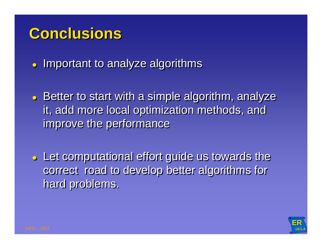### **Conclusions**

<sup>l</sup> Important to analyze algorithms <sup>l</sup> Important to analyze algorithms

**.** Better to start with a simple algorithm, analyze it, add more local optimization methods, and it, add more local optimization methods, and improve the performance improve the performance

<sup>l</sup> Let computational effort guide us towards the <sup>l</sup> Let computational effort guide us towards the correct road to develop better algorithms for correct road to develop better algorithms for hard problems. hard problems.

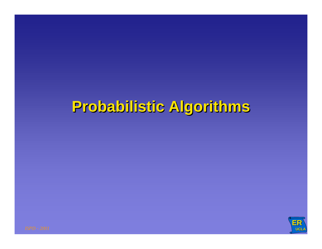# **Probabilistic Algorithms**

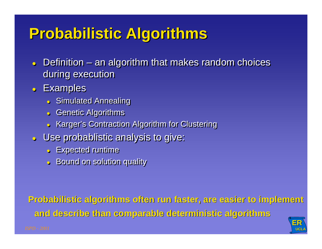# **Probabilistic Algorithms**

- **.** Definition an algorithm that makes random choices during execution during execution
- <sup>l</sup> Examples <sup>l</sup> Examples
	- **Simulated Annealing**
	- **Cenetic Algorithms**
	- **.** Karger's Contraction Algorithm for Clustering
- **Juse probablistic analysis to give:** 
	- **.** Expected runtime
	- **Bound on solution quality**

**Probabilistic algorithms often run faster, are easier to implement and describe than comparable deterministic algorithms**

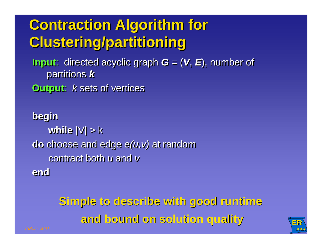# **Contraction Algorithm for Clustering/partitioning**

**Input**: directed acyclic graph *G* = (*V*, *E*), number of **Input**: directed acyclic graph *G* = (*V*, *E*), number of partitions *k* partitions *k* **Output**: *k* sets of vertices **Output**: *k* sets of vertices

**begin begin while** |V| > k **while** |V| > k **do** choose and edge *e(u,v)* at random **do** choose and edge *e(u,v)* at random contract both *u* and *v* contract both *u* and *v* **end end**

> **Simple to describe with good runtime and bound on solution quality**

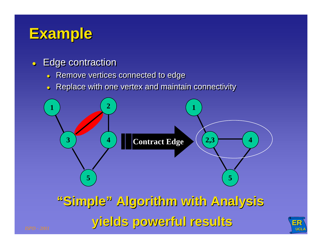# **Example**

#### **.** Edge contraction

- **Remove vertices connected to edge**
- **Replace with one vertex and maintain connectivity**



**"Simple" Algorithm with Analysis yields powerful results**

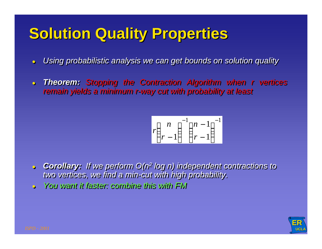# **Solution Quality Properties**

- **Julian** *Using probabilistic analysis we can get bounds on solution quality*
- <sup>l</sup> *Theorem: Stopping the Contraction Algorithm when r vertices* <sup>l</sup> *Theorem: Stopping the Contraction Algorithm when r vertices remain yields a minimum r-way cut with probability at least remain yields a minimum r-way cut with probability at least*

$$
r \binom{n}{r-1}^{-1} \binom{n-1}{r-1}^{-1}
$$

- <sup>l</sup> *Corollary: If we perform O(n<sup>2</sup> log n) independent contractions to*  <sup>l</sup> *Corollary: If we perform O(n<sup>2</sup> log n) independent contractions to two vertices, we find a min-cut with high probability. two vertices, we find a min-cut with high probability.*
- <sup>l</sup> *You want it faster: combine this with FM* <sup>l</sup> *You want it faster: combine this with FM*

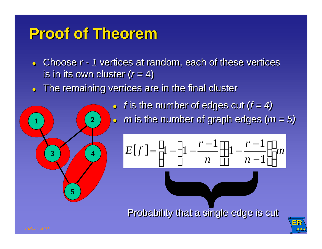### **Proof of Theorem**

**Choose** *r* **- 1** vertices at random, each of these vertices is in its own cluster (*r* = 4) is in its own cluster (*r* = 4)

• The remaining vertices are in the final cluster



**.** *f* is the number of edges cut  $(f = 4)$ <sup>l</sup> *m* is the number of graph edges (*m = 5)* <sup>l</sup> *m* is the number of graph edges (*m = 5)*

$$
E[f] = \left[1 - \left(1 - \frac{r-1}{n}\right)\left(1 - \frac{r-1}{n-1}\right)\right]m
$$

Probability that a single edge is cut **{**

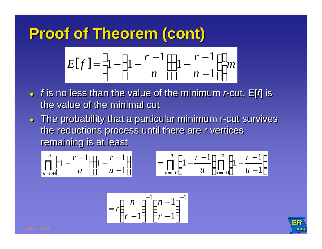## **Proof of Theorem (cont)**

$$
E[f] = \left[1 - \left(1 - \frac{r-1}{n}\right)\left(1 - \frac{r-1}{n-1}\right)\right]m
$$

- <sup>l</sup> *f* is no less than the value of the minimum *r*-cut, E[*f*] is <sup>l</sup> *f* is no less than the value of the minimum *r*-cut, E[*f*] is the value of the minimal cut the value of the minimal cut
- . The probability that a particular minimum r-cut survives the reductions process until there are r vertices remaining is at least remaining is at least

$$
\prod_{u=r+1}^{n} \left(1 - \frac{r-1}{u}\right) \left(1 - \frac{r-1}{u-1}\right) = \prod_{u=r+1}^{n} \left(1 - \frac{r-1}{u}\right) \prod_{u=r+1}^{n}
$$

$$
= \prod_{u=r+1}^{n} \left(1 - \frac{r-1}{u}\right) \prod_{u=r+1}^{n} \left(1 - \frac{r-1}{u-1}\right)
$$

$$
= r \binom{n}{r-1}^{-1} \binom{n-1}{r-1}^{-1}
$$

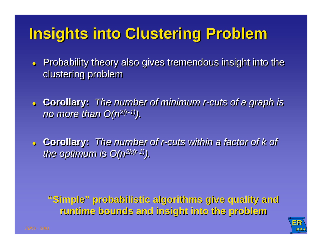## **Insights into Clustering Problem**

- **Probability theory also gives tremendous insight into the** clustering problem clustering problem
- <sup>l</sup> **Corollary:** *The number of minimum r-cuts of a graph is*  <sup>l</sup> **Corollary:** *The number of minimum r-cuts of a graph is no more than O(n2(r-1)). no more than O(n2(r-1)).*
- <sup>l</sup> **Corollary:** *The number of r-cuts within a factor of k of*  <sup>l</sup> **Corollary:** *The number of r-cuts within a factor of k of the optimum is O(n2k(r-1)). the optimum is O(n2k(r-1)).*

**"Simple" probabilistic algorithms give quality and runtime bounds and insight into the problem**

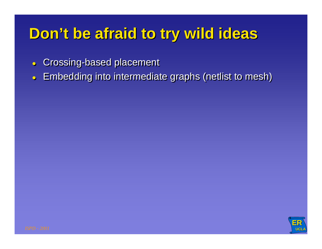## **Don't be afraid to try wild ideas**

- **Crossing-based placement**
- **•** Embedding into intermediate graphs (netlist to mesh)